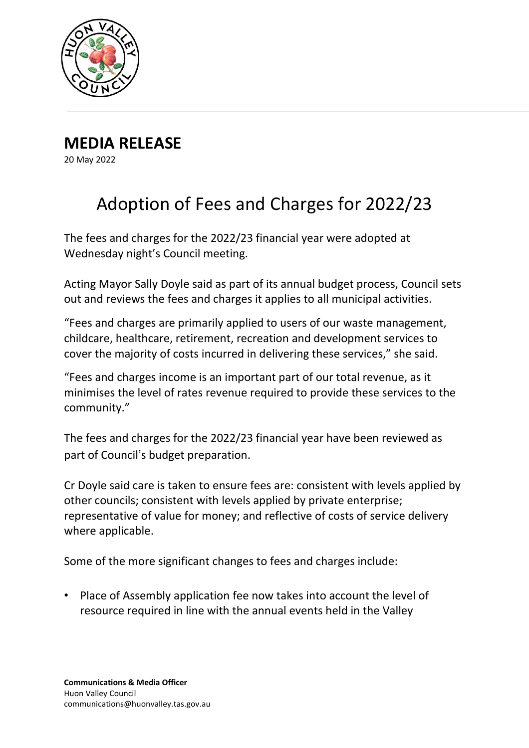

**MEDIA RELEASE** 20 May 2022

## Adoption of Fees and Charges for 2022/23

The fees and charges for the 2022/23 financial year were adopted at Wednesday night's Council meeting.

Acting Mayor Sally Doyle said as part of its annual budget process, Council sets out and reviews the fees and charges it applies to all municipal activities.

"Fees and charges are primarily applied to users of our waste management, childcare, healthcare, retirement, recreation and development services to cover the majority of costs incurred in delivering these services," she said.

"Fees and charges income is an important part of our total revenue, as it minimises the level of rates revenue required to provide these services to the community."

The fees and charges for the 2022/23 financial year have been reviewed as part of Council's budget preparation.

Cr Doyle said care is taken to ensure fees are: consistent with levels applied by other councils; consistent with levels applied by private enterprise; representative of value for money; and reflective of costs of service delivery where applicable.

Some of the more significant changes to fees and charges include:

• Place of Assembly application fee now takes into account the level of resource required in line with the annual events held in the Valley